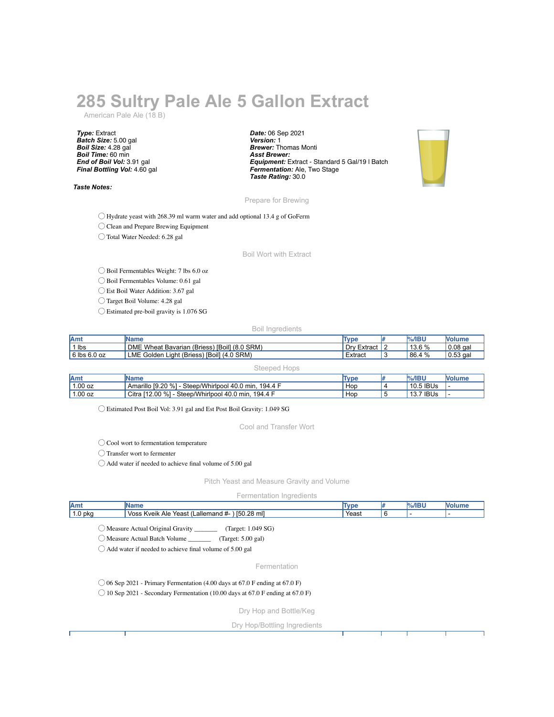## **285 Sultry Pale Ale 5 Gallon Extract**

American Pale Ale (18 B)

*Type:* Extract *Batch Size:* 5.00 gal *Boil Size:* 4.28 gal *Boil Time:* 60 min *End of Boil Vol:* 3.91 gal *Final Bottling Vol:* 4.60 gal

*Taste Notes:*

*Date:* 06 Sep 2021 *Version:* 1 *Brewer:* Thomas Monti *Asst Brewer: Equipment:* Extract - Standard 5 Gal/19 l Batch *Fermentation:* Ale, Two Stage *Taste Rating:* 30.0



Prepare for Brewing

◯ Hydrate yeast with 268.39 ml warm water and add optional 13.4 g of GoFerm

◯ Clean and Prepare Brewing Equipment

◯ Total Water Needed: 6.28 gal

Boil Wort with Extract

◯ Boil Fermentables Weight: 7 lbs 6.0 oz

◯ Boil Fermentables Volume: 0.61 gal

◯ Est Boil Water Addition: 3.67 gal

◯ Target Boil Volume: 4.28 gal

◯ Estimated pre-boil gravity is 1.076 SG

Boil Ingredients

| <b>JAmy</b>      | <b>IName</b>                                         | Type                          | $%$ /IBU | Nolume           |
|------------------|------------------------------------------------------|-------------------------------|----------|------------------|
| 1 lbs            | DME Wheat Bavarian (Briess) [Boil] (8.0 SRM)         | . Drv<br><sup>.</sup> Extract | 13.6 %   | $\vert$ 0.08 gal |
| $6$ lbs $6.0$ oz | <b>LME Golden</b><br>Light (Briess) [Boil] (4.0 SRM) | Extract                       | 86.4 %   | $\vert$ 0.53 gal |

|           | Steeped Hops                                          |      |             |        |
|-----------|-------------------------------------------------------|------|-------------|--------|
| Amt       | <b>Name</b>                                           | Type | $%$ /IBU    | Nolume |
| $1.00$ oz | Amarillo [9.20 %] - Steep/Whirlpool 40.0 min, 194.4 F | Hop  | $10.5$ IBUs |        |
| $1.00$ oz | Citra [12.00 %] - Steep/Whirlpool 40.0 min, 194.4 F   | Hop  | 13.7 IBUs   |        |

◯ Estimated Post Boil Vol: 3.91 gal and Est Post Boil Gravity: 1.049 SG

Cool and Transfer Wort

◯ Cool wort to fermentation temperature

◯ Transfer wort to fermenter

◯ Add water if needed to achieve final volume of 5.00 gal

Pitch Yeast and Measure Gravity and Volume

Fermentation Ingredients

| Amt                                                                                                                                                                             | <b>Name</b>                                                                                                                                                                                        | <b>Type</b> | l# | $%$ /IBU | <b>Nolume</b> |
|---------------------------------------------------------------------------------------------------------------------------------------------------------------------------------|----------------------------------------------------------------------------------------------------------------------------------------------------------------------------------------------------|-------------|----|----------|---------------|
| $1.0$ pkg                                                                                                                                                                       | Voss Kveik Ale Yeast (Lallemand #- ) [50.28 ml]                                                                                                                                                    | Yeast       | 6  |          |               |
|                                                                                                                                                                                 | Measure Actual Original Gravity __________ (Target: 1.049 SG)<br>Measure Actual Batch Volume ____________ (Target: 5.00 gal)<br>$\bigcirc$ Add water if needed to achieve final volume of 5.00 gal |             |    |          |               |
|                                                                                                                                                                                 | Fermentation                                                                                                                                                                                       |             |    |          |               |
| $\bigcirc$ 06 Sep 2021 - Primary Fermentation (4.00 days at 67.0 F ending at 67.0 F)<br>$\bigcirc$ 10 Sep 2021 - Secondary Fermentation (10.00 days at 67.0 F ending at 67.0 F) |                                                                                                                                                                                                    |             |    |          |               |
|                                                                                                                                                                                 | Dry Hop and Bottle/Keg                                                                                                                                                                             |             |    |          |               |
|                                                                                                                                                                                 | Dry Hop/Bottling Ingredients                                                                                                                                                                       |             |    |          |               |
|                                                                                                                                                                                 |                                                                                                                                                                                                    |             |    |          |               |